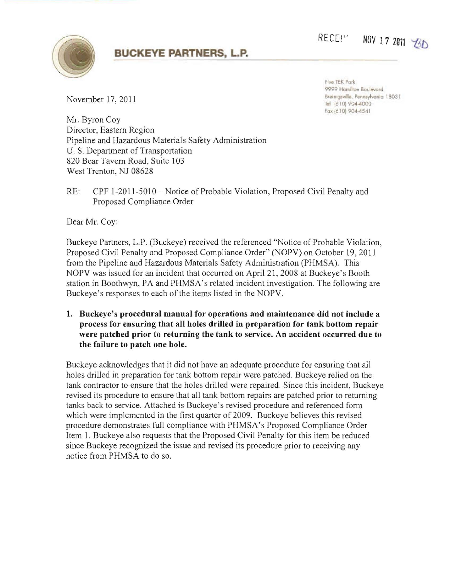## **BUCKEYE PARTNERS, L.P.**



Five TEK Park 9999 Hamilton Boulevard **8** Breinigsville, Pennsylvania 18031 **1803 18031 18031 18031 18031 18031 18031 18031 18031 18031** Fax (610) 904-4541

RECE!" NOV 17 2011 **13D** 

Mr. Byron Coy Director, Eastern Region Pipeline and Hazardous Materials Safety Administration U. S. Department of Transportation 820 Bear Tavern Road, Suite 103 West Trenton, NJ 08628

RE: CPF 1-2011-5010 - Notice of Probable Violation, Proposed Civil Penalty and Proposed Compliance Order

Dear Mr. Coy:

Buckeye Partners, L.P. (Buckeye) received the referenced "Notice of Probable Violation, Proposed Civil Penalty and Proposed Compliance Order" (NOPV) on October 19, 2011 from the Pipeline and Hazardous Materials Safety Administration (PHMSA). This NOPV was issued for an incident that occurred on April 21,2008 at Buckeye's Booth station in Boothwyn, PA and PHMSA 's related incident investigation. The following are Buckeye's responses to each of the items listed in the NOPV.

1. Buckeye's procedural manual for operations and maintenance did not include a process for ensuring that all holes drilled in preparation for tank bottom repair were patched prior to returning the tank to service. An accident occurred due to the failure to patch one hole.

Buckeye acknowledges that it did not have an adequate procedure for ensuring that all holes drilled in preparation for tank bottom repair were patched. Buckeye relied on the tank contractor to ensure that the holes drilled were repaired. Since this incident, Buckeye revised its procedure to ensure that all tank bottom repairs are patched prior to returning tanks back to service. Attached is Buckeye's revised procedure and referenced fonn which were implemented in the first quarter of 2009. Buckeye believes this revised procedure demonstrates full compliance with PHMSA's Proposed Compliance Order Item 1. Buckeye also requests that the Proposed Civil Penalty for this item be reduced since Buckeye recognized the issue and revised its procedure prior to receiving any notice from PHMSA to do so.